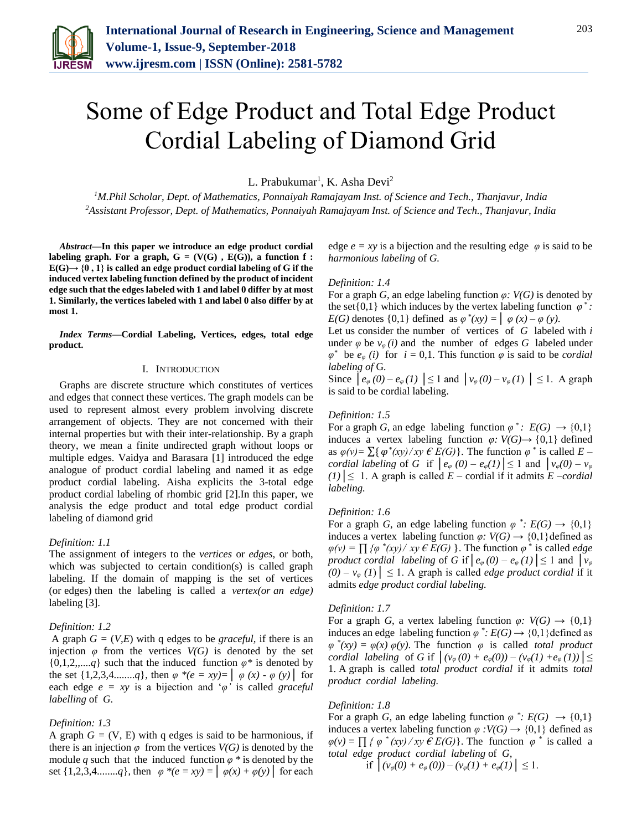

# Some of Edge Product and Total Edge Product Cordial Labeling of Diamond Grid

L. Prabukumar<sup>1</sup>, K. Asha Devi<sup>2</sup>

*<sup>1</sup>M.Phil Scholar, Dept. of Mathematics, Ponnaiyah Ramajayam Inst. of Science and Tech., Thanjavur, India 2Assistant Professor, Dept. of Mathematics, Ponnaiyah Ramajayam Inst. of Science and Tech., Thanjavur, India*

*Abstract***—In this paper we introduce an edge product cordial**  labeling graph. For a graph,  $G = (V(G), E(G))$ , a function f :  $E(G) \rightarrow \{0, 1\}$  is called an edge product cordial labeling of G if the **induced vertex labeling function defined by the product of incident edge such that the edges labeled with 1 and label 0 differ by at most 1. Similarly, the vertices labeled with 1 and label 0 also differ by at most 1.** 

*Index Terms***—Cordial Labeling, Vertices, edges, total edge product.** 

#### I. INTRODUCTION

Graphs are discrete structure which constitutes of vertices and edges that connect these vertices. The graph models can be used to represent almost every problem involving discrete arrangement of objects. They are not concerned with their internal properties but with their inter-relationship. By a graph theory, we mean a finite undirected graph without loops or multiple edges. Vaidya and Barasara [1] introduced the edge analogue of product cordial labeling and named it as edge product cordial labeling. Aisha explicits the 3-total edge product cordial labeling of rhombic grid [2].In this paper, we analysis the edge product and total edge product cordial labeling of diamond grid

## *Definition: 1.1*

The assignment of integers to the *vertices* or *edges,* or both, which was subjected to certain condition(s) is called graph labeling. If the domain of mapping is the set of vertices (or edges) then the labeling is called a *vertex(or an edge)* labeling [3].

#### *Definition: 1.2*

A graph  $G = (V,E)$  with q edges to be *graceful*, if there is an injection  $\varphi$  from the vertices  $V(G)$  is denoted by the set  $\{0,1,2,...,q\}$  such that the induced function  $\varphi^*$  is denoted by the set  $\{1,2,3,4,...,q\}$ , then  $\varphi * (e = xy) = | \varphi(x) - \varphi(y) |$  for each edge  $e = xy$  is a bijection and ' $\varphi$ ' is called *graceful labelling* of *G*.

## *Definition: 1.3*

A graph  $G = (V, E)$  with q edges is said to be harmonious, if there is an injection  $\varphi$  from the vertices  $V(G)$  is denoted by the module *q* such that the induced function  $\varphi$  \* is denoted by the set  $\{1,2,3,4,...,q\}$ , then  $\varphi$  \*( $e = xy$ ) =  $\varphi(x) + \varphi(y)$  for each edge  $e = xy$  is a bijection and the resulting edge  $\varphi$  is said to be *harmonious labeling* of *G.*

#### *Definition: 1.4*

For a graph *G*, an edge labeling function  $\varphi$ : *V(G)* is denoted by the set $\{0,1\}$  which induces by the vertex labeling function  $\varphi^*$ . *E(G)* denotes  $\{0,1\}$  defined as  $\varphi^*(xy) = \varphi(x) - \varphi(y)$ .

Let us consider the number of vertices of *G* labeled with *i* under  $\varphi$  be  $v_{\varphi}(i)$  and the number of edges G labeled under  $\varphi^*$  be  $e_{\varphi}$  *(i)* for  $i = 0,1$ . This function  $\varphi$  is said to be *cordial labeling of* G*.*

Since  $\left[ e_{\varphi}(0) - e_{\varphi}(1) \right] \le 1$  and  $\left[ v_{\varphi}(0) - v_{\varphi}(1) \right] \le 1$ . A graph is said to be cordial labeling.

#### *Definition: 1.5*

For a graph *G*, an edge labeling function  $\varphi^*$ :  $E(G) \to \{0,1\}$ induces a vertex labeling function  $\varphi: V(G) \rightarrow \{0,1\}$  defined as  $\varphi(\nu) = \sum \{ \varphi^*(xy) / xy \in E(G) \}.$  The function  $\varphi^*$  is called  $E$ *cordial labeling* of *G* if  $|e_{\varphi}(0) - e_{\varphi}(1)| \le 1$  and  $|v_{\varphi}(0) - v_{\varphi}(0)|$ *(1)*│≤ 1. A graph is called *E* – cordial if it admits *E* –*cordial labeling.*

#### *Definition: 1.6*

For a graph *G*, an edge labeling function  $\varphi^*$ :  $E(G) \rightarrow \{0,1\}$ induces a vertex labeling function  $\varphi: V(G) \to \{0,1\}$ defined as  $\varphi(v) = \prod_{i} \{ \varphi^*(xy) / xy \in E(G) \}$ . The function  $\varphi^*$  is called *edge product cordial labeling* of *G* if  $|e_{\varphi}(0) - e_{\varphi}(1)| \le 1$  and  $|v_{\varphi}|$  $(0) - v_{\varphi}(1)$   $\leq 1$ . A graph is called *edge product cordial* if it admits *edge product cordial labeling.*

#### *Definition: 1.7*

For a graph *G*, a vertex labeling function  $\varphi$ :  $V(G) \rightarrow \{0,1\}$ induces an edge labeling function  $\varphi^*$ :  $E(G) \rightarrow \{0,1\}$  defined as  $\varphi$ <sup>\*</sup> $(xy) = \varphi(x) \varphi(y)$ . The function  $\varphi$  is called *total product cordial labeling* of *G* if  $|(v_{\varphi}(0) + e_{\varphi}(0)) - (v_{\varphi}(1) + e_{\varphi}(1))| \le$ 1. A graph is called *total product cordial* if it admits *total product cordial labeling.*

#### *Definition: 1.8*

For a graph *G*, an edge labeling function  $\varphi^*$ :  $E(G) \rightarrow \{0,1\}$ induces a vertex labeling function  $\varphi$  *:V(G)*  $\rightarrow$  {0,1} defined as  $\varphi(v) = \prod_{i} \{ \varphi^*(xy) / xy \in E(G) \}.$  The function  $\varphi^*$  is called a *total edge product cordial labeling* of *G,*

if 
$$
|(v_{\varphi}(0) + e_{\varphi}(0)) - (v_{\varphi}(1) + e_{\varphi}(1))| \leq 1
$$
.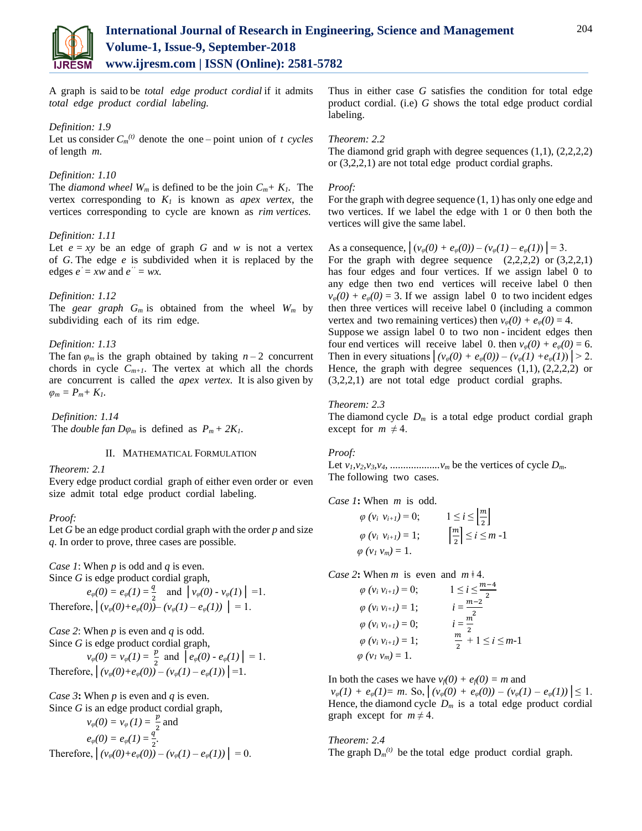

A graph is said to be *total edge product cordial* if it admits *total edge product cordial labeling.*

## *Definition: 1.9*

Let us consider  $C_m^{(t)}$  denote the one – point union of *t cycles* of length *m*.

## *Definition: 1.10*

The *diamond wheel*  $W_m$  is defined to be the join  $C_m + K_l$ . The vertex corresponding to *K1* is known as *apex vertex*, the vertices corresponding to cycle are known as *rim vertices.*

#### *Definition: 1.11*

Let  $e = xy$  be an edge of graph *G* and *w* is not a vertex of *G*. The edge *e* is subdivided when it is replaced by the edges  $e' = xw$  and  $e'' = wx$ .

#### *Definition: 1.12*

The *gear graph*  $G_m$  is obtained from the wheel  $W_m$  by subdividing each of its rim edge.

#### *Definition: 1.13*

The fan  $\varphi_m$  is the graph obtained by taking  $n-2$  concurrent chords in cycle  $C_{m+1}$ . The vertex at which all the chords are concurrent is called the *apex vertex*. It is also given by  $\varphi_m = P_m + K_l$ .

*Definition: 1.14* The *double fan*  $D\varphi_m$  is defined as  $P_m + 2K_I$ .

## II. MATHEMATICAL FORMULATION

*Theorem: 2.1*

Every edge product cordial graph of either even order or even size admit total edge product cordial labeling.

#### *Proof:*

Let *G* be an edge product cordial graph with the order *p* and size *q*. In order to prove, three cases are possible.

*Case 1*: When *p* is odd and *q* is even.

Since *G* is edge product cordial graph,

 $e_{\varphi}(0) = e_{\varphi}(1) = \frac{q}{2}$  $\frac{q}{2}$  and  $\left[ v_{\varphi}(0) - v_{\varphi}(1) \right] = 1.$ Therefore,  $|(v_{\varphi}(0)+e_{\varphi}(0))-(v_{\varphi}(1)-e_{\varphi}(1))|=1.$ 

*Case 2*: When *p* is even and *q* is odd. Since *G* is edge product cordial graph,

$$
v_{\varphi}(0) = v_{\varphi}(1) = \frac{p}{2} \text{ and } \left[ e_{\varphi}(0) - e_{\varphi}(1) \right] = 1.
$$
  
Therefore, 
$$
\left| (v_{\varphi}(0) + e_{\varphi}(0)) - (v_{\varphi}(1) - e_{\varphi}(1)) \right| = 1.
$$

*Case 3***:** When *p* is even and *q* is even.

Since *G* is an edge product cordial graph,

$$
v_{\varphi}(0) = v_{\varphi}(1) = \frac{p}{2} \text{ and}
$$
  
\n
$$
e_{\varphi}(0) = e_{\varphi}(1) = \frac{q}{2}.
$$
  
\nTherefore,  $\left| (v_{\varphi}(0) + e_{\varphi}(0)) - (v_{\varphi}(1) - e_{\varphi}(1)) \right| = 0.$ 

Thus in either case *G* satisfies the condition for total edge product cordial. (i.e) *G* shows the total edge product cordial labeling.

## *Theorem: 2.2*

The diamond grid graph with degree sequences  $(1,1)$ ,  $(2,2,2,2)$ or (3,2,2,1) are not total edge product cordial graphs.

#### *Proof:*

For the graph with degree sequence (1, 1) has only one edge and two vertices. If we label the edge with 1 or 0 then both the vertices will give the same label.

As a consequence,  $|(v_{\varphi}(0) + e_{\varphi}(0)) - (v_{\varphi}(1) - e_{\varphi}(1))| = 3.$ For the graph with degree sequence  $(2,2,2,2)$  or  $(3,2,2,1)$ has four edges and four vertices. If we assign label 0 to any edge then two end vertices will receive label 0 then  $v_{\varphi}(0) + e_{\varphi}(0) = 3$ . If we assign label 0 to two incident edges then three vertices will receive label 0 (including a common vertex and two remaining vertices) then  $v_{\varphi}(0) + e_{\varphi}(0) = 4$ .

Suppose we assign label 0 to two non - incident edges then four end vertices will receive label 0. then  $v_{\varphi}(0) + e_{\varphi}(0) = 6$ . Then in every situations  $| (v_{\varphi}(0) + e_{\varphi}(0)) - (v_{\varphi}(1) + e_{\varphi}(1)) | > 2$ . Hence, the graph with degree sequences  $(1,1)$ ,  $(2,2,2,2)$  or (3,2,2,1) are not total edge product cordial graphs.

## *Theorem: 2.3*

The diamond cycle  $D_m$  is a total edge product cordial graph except for  $m \neq 4$ .

## *Proof:*

Let  $v_1, v_2, v_3, v_4, \ldots$   $v_m$  be the vertices of cycle  $D_m$ . The following two cases.

*Case 1***:** When *m* is odd.

$$
\varphi\ (v_i\ v_{i+1}) = 0; \qquad 1 \le i \le \left[\frac{m}{2}\right] \n\varphi\ (v_i\ v_{i+1}) = 1; \qquad \left[\frac{m}{2}\right] \le i \le m-1 \n\varphi\ (v_1\ v_m) = 1.
$$

*Case 2***:** When *m* is even and  $m \neq 4$ .

| $\varphi$ ( $v_i v_{i+1}$ ) = 0;   | $1 \le i \le \frac{m-4}{2}$     |
|------------------------------------|---------------------------------|
| $\varphi$ ( $v_i v_{i+1}$ ) = 1;   | $i = \frac{m-2}{2}$             |
| $\varphi$ ( $v_i v_{i+1}$ ) = 0;   | $i=\frac{m}{2}$                 |
| $\varphi$ ( $v_i$ $v_{i+1}$ ) = 1; | $\frac{m}{2} + 1 \le i \le m-1$ |
| $\varphi$ ( $v_l$ $v_m$ ) = 1.     |                                 |

In both the cases we have  $v_f(0) + e_f(0) = m$  and

 $v_{\varphi}(1) + e_{\varphi}(1) = m$ . So,  $| (v_{\varphi}(0) + e_{\varphi}(0)) - (v_{\varphi}(1) - e_{\varphi}(1)) | \leq 1$ . Hence, the diamond cycle  $D_m$  is a total edge product cordial graph except for  $m \neq 4$ .

*Theorem: 2.4* The graph  $D_m^{(t)}$  be the total edge product cordial graph.